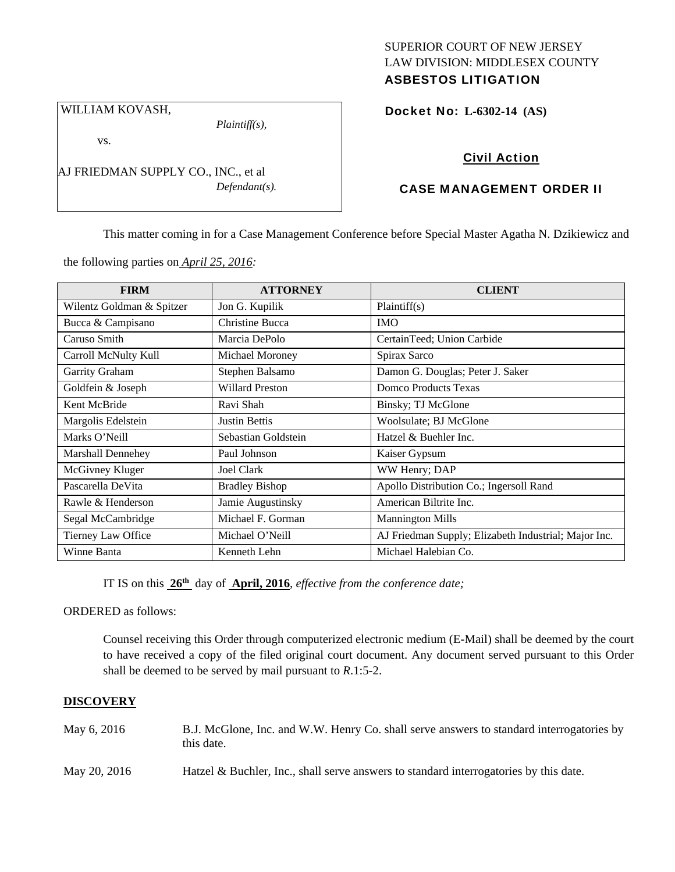## SUPERIOR COURT OF NEW JERSEY LAW DIVISION: MIDDLESEX COUNTY ASBESTOS LITIGATION

*Plaintiff(s),* 

vs.

WILLIAM KOVASH,

AJ FRIEDMAN SUPPLY CO., INC., et al *Defendant(s).*  Docket No: **L-6302-14 (AS)** 

# Civil Action

# CASE MANAGEMENT ORDER II

This matter coming in for a Case Management Conference before Special Master Agatha N. Dzikiewicz and

the following parties on *April 25, 2016:* 

| <b>FIRM</b>               | <b>ATTORNEY</b>        | <b>CLIENT</b>                                        |
|---------------------------|------------------------|------------------------------------------------------|
| Wilentz Goldman & Spitzer | Jon G. Kupilik         | Plaintiff(s)                                         |
| Bucca & Campisano         | Christine Bucca        | <b>IMO</b>                                           |
| Caruso Smith              | Marcia DePolo          | CertainTeed; Union Carbide                           |
| Carroll McNulty Kull      | Michael Moroney        | Spirax Sarco                                         |
| Garrity Graham            | Stephen Balsamo        | Damon G. Douglas; Peter J. Saker                     |
| Goldfein & Joseph         | <b>Willard Preston</b> | Domco Products Texas                                 |
| Kent McBride              | Ravi Shah              | Binsky; TJ McGlone                                   |
| Margolis Edelstein        | <b>Justin Bettis</b>   | Woolsulate; BJ McGlone                               |
| Marks O'Neill             | Sebastian Goldstein    | Hatzel & Buehler Inc.                                |
| Marshall Dennehey         | Paul Johnson           | Kaiser Gypsum                                        |
| McGivney Kluger           | <b>Joel Clark</b>      | WW Henry; DAP                                        |
| Pascarella DeVita         | <b>Bradley Bishop</b>  | Apollo Distribution Co.; Ingersoll Rand              |
| Rawle & Henderson         | Jamie Augustinsky      | American Biltrite Inc.                               |
| Segal McCambridge         | Michael F. Gorman      | <b>Mannington Mills</b>                              |
| Tierney Law Office        | Michael O'Neill        | AJ Friedman Supply; Elizabeth Industrial; Major Inc. |
| Winne Banta               | Kenneth Lehn           | Michael Halebian Co.                                 |

IT IS on this **26th** day of **April, 2016**, *effective from the conference date;*

ORDERED as follows:

Counsel receiving this Order through computerized electronic medium (E-Mail) shall be deemed by the court to have received a copy of the filed original court document. Any document served pursuant to this Order shall be deemed to be served by mail pursuant to *R*.1:5-2.

## **DISCOVERY**

| May 6, 2016  | B.J. McGlone, Inc. and W.W. Henry Co. shall serve answers to standard interrogatories by<br>this date. |
|--------------|--------------------------------------------------------------------------------------------------------|
| May 20, 2016 | Hatzel & Buchler, Inc., shall serve answers to standard interrogatories by this date.                  |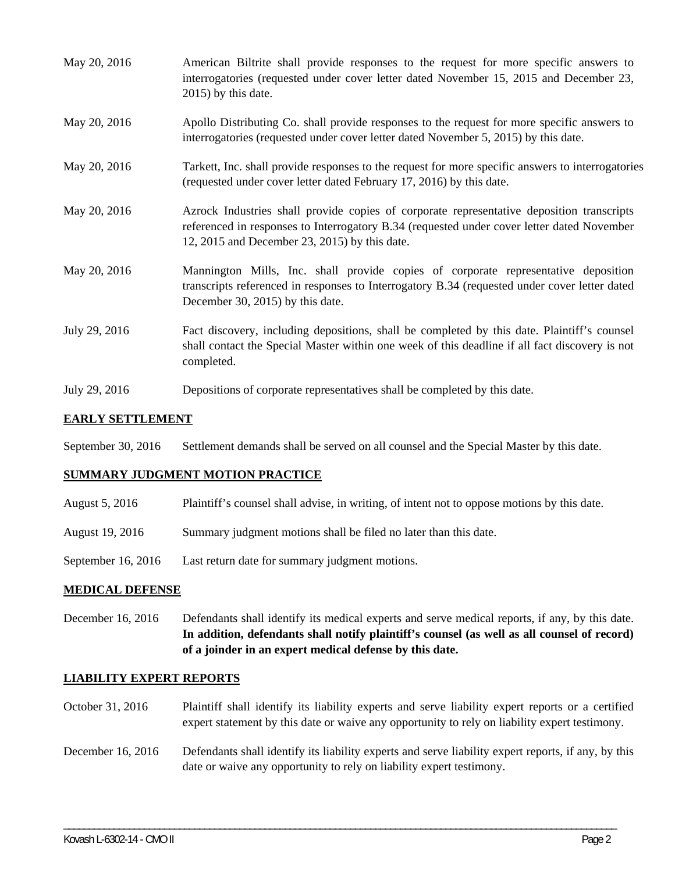| May 20, 2016  | American Biltrite shall provide responses to the request for more specific answers to<br>interrogatories (requested under cover letter dated November 15, 2015 and December 23,<br>$2015$ ) by this date.                                |
|---------------|------------------------------------------------------------------------------------------------------------------------------------------------------------------------------------------------------------------------------------------|
| May 20, 2016  | Apollo Distributing Co. shall provide responses to the request for more specific answers to<br>interrogatories (requested under cover letter dated November 5, 2015) by this date.                                                       |
| May 20, 2016  | Tarkett, Inc. shall provide responses to the request for more specific answers to interrogatories<br>(requested under cover letter dated February 17, 2016) by this date.                                                                |
| May 20, 2016  | Azrock Industries shall provide copies of corporate representative deposition transcripts<br>referenced in responses to Interrogatory B.34 (requested under cover letter dated November<br>12, 2015 and December 23, 2015) by this date. |
| May 20, 2016  | Mannington Mills, Inc. shall provide copies of corporate representative deposition<br>transcripts referenced in responses to Interrogatory B.34 (requested under cover letter dated<br>December 30, 2015) by this date.                  |
| July 29, 2016 | Fact discovery, including depositions, shall be completed by this date. Plaintiff's counsel<br>shall contact the Special Master within one week of this deadline if all fact discovery is not<br>completed.                              |
|               |                                                                                                                                                                                                                                          |

July 29, 2016 Depositions of corporate representatives shall be completed by this date.

# **EARLY SETTLEMENT**

September 30, 2016 Settlement demands shall be served on all counsel and the Special Master by this date.

## **SUMMARY JUDGMENT MOTION PRACTICE**

- August 5, 2016 Plaintiff's counsel shall advise, in writing, of intent not to oppose motions by this date.
- August 19, 2016 Summary judgment motions shall be filed no later than this date.
- September 16, 2016 Last return date for summary judgment motions.

## **MEDICAL DEFENSE**

December 16, 2016 Defendants shall identify its medical experts and serve medical reports, if any, by this date. **In addition, defendants shall notify plaintiff's counsel (as well as all counsel of record) of a joinder in an expert medical defense by this date.** 

## **LIABILITY EXPERT REPORTS**

- October 31, 2016 Plaintiff shall identify its liability experts and serve liability expert reports or a certified expert statement by this date or waive any opportunity to rely on liability expert testimony.
- December 16, 2016 Defendants shall identify its liability experts and serve liability expert reports, if any, by this date or waive any opportunity to rely on liability expert testimony.

\_\_\_\_\_\_\_\_\_\_\_\_\_\_\_\_\_\_\_\_\_\_\_\_\_\_\_\_\_\_\_\_\_\_\_\_\_\_\_\_\_\_\_\_\_\_\_\_\_\_\_\_\_\_\_\_\_\_\_\_\_\_\_\_\_\_\_\_\_\_\_\_\_\_\_\_\_\_\_\_\_\_\_\_\_\_\_\_\_\_\_\_\_\_\_\_\_\_\_\_\_\_\_\_\_\_\_\_\_\_